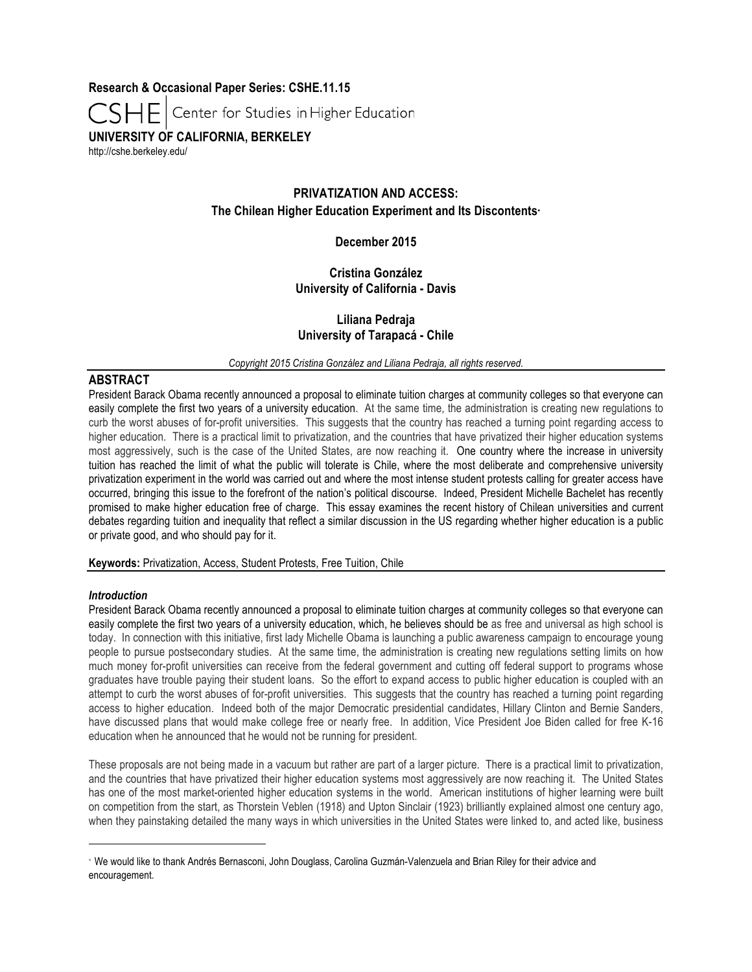**Research & Occasional Paper Series: CSHE.11.15**

Center for Studies in Higher Education

**UNIVERSITY OF CALIFORNIA, BERKELEY**

http://cshe.berkeley.edu/

# **PRIVATIZATION AND ACCESS: The Chilean Higher Education Experiment and Its Discontents**<sup>∗</sup>

## **December 2015**

## **Cristina González University of California - Davis**

## **Liliana Pedraja University of Tarapacá - Chile**

*Copyright 2015 Cristina González and Liliana Pedraja, all rights reserved.*

## **ABSTRACT**

President Barack Obama recently announced a proposal to eliminate tuition charges at community colleges so that everyone can easily complete the first two years of a university education. At the same time, the administration is creating new regulations to curb the worst abuses of for-profit universities. This suggests that the country has reached a turning point regarding access to higher education. There is a practical limit to privatization, and the countries that have privatized their higher education systems most aggressively, such is the case of the United States, are now reaching it. One country where the increase in university tuition has reached the limit of what the public will tolerate is Chile, where the most deliberate and comprehensive university privatization experiment in the world was carried out and where the most intense student protests calling for greater access have occurred, bringing this issue to the forefront of the nation's political discourse. Indeed, President Michelle Bachelet has recently promised to make higher education free of charge. This essay examines the recent history of Chilean universities and current debates regarding tuition and inequality that reflect a similar discussion in the US regarding whether higher education is a public or private good, and who should pay for it.

**Keywords:** Privatization, Access, Student Protests, Free Tuition, Chile

## *Introduction*

1

President Barack Obama recently announced a proposal to eliminate tuition charges at community colleges so that everyone can easily complete the first two years of a university education, which, he believes should be as free and universal as high school is today. In connection with this initiative, first lady Michelle Obama is launching a public awareness campaign to encourage young people to pursue postsecondary studies. At the same time, the administration is creating new regulations setting limits on how much money for-profit universities can receive from the federal government and cutting off federal support to programs whose graduates have trouble paying their student loans. So the effort to expand access to public higher education is coupled with an attempt to curb the worst abuses of for-profit universities. This suggests that the country has reached a turning point regarding access to higher education. Indeed both of the major Democratic presidential candidates, Hillary Clinton and Bernie Sanders, have discussed plans that would make college free or nearly free. In addition, Vice President Joe Biden called for free K-16 education when he announced that he would not be running for president.

These proposals are not being made in a vacuum but rather are part of a larger picture. There is a practical limit to privatization, and the countries that have privatized their higher education systems most aggressively are now reaching it. The United States has one of the most market-oriented higher education systems in the world. American institutions of higher learning were built on competition from the start, as Thorstein Veblen (1918) and Upton Sinclair (1923) brilliantly explained almost one century ago, when they painstaking detailed the many ways in which universities in the United States were linked to, and acted like, business

<sup>∗</sup> We would like to thank Andrés Bernasconi, John Douglass, Carolina Guzmán-Valenzuela and Brian Riley for their advice and encouragement.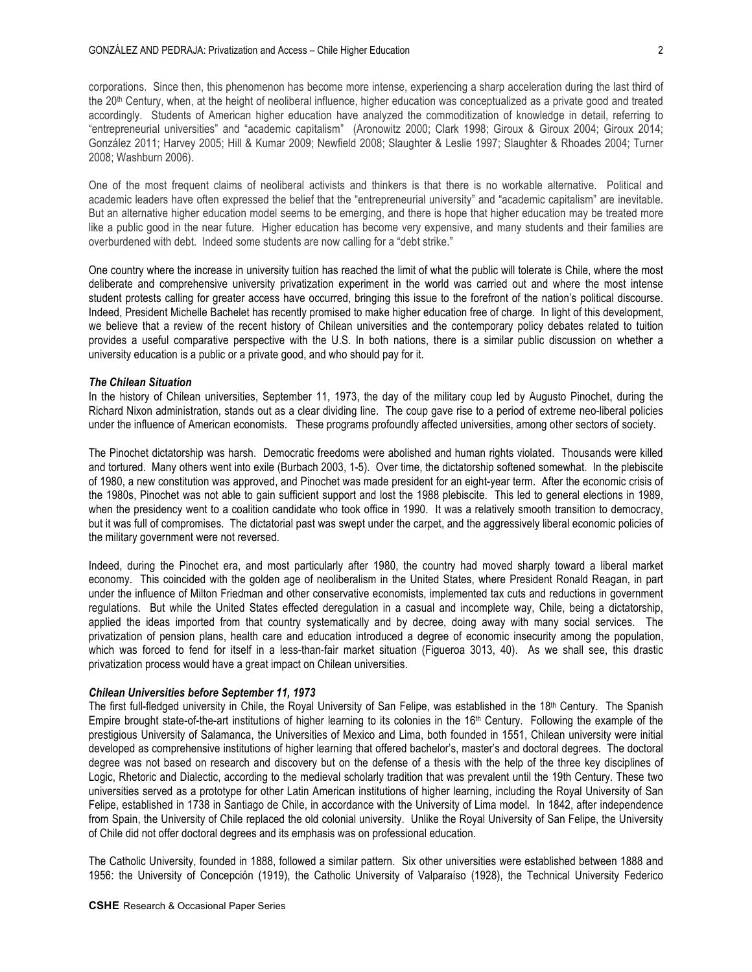corporations. Since then, this phenomenon has become more intense, experiencing a sharp acceleration during the last third of the 20th Century, when, at the height of neoliberal influence, higher education was conceptualized as a private good and treated accordingly. Students of American higher education have analyzed the commoditization of knowledge in detail, referring to "entrepreneurial universities" and "academic capitalism" (Aronowitz 2000; Clark 1998; Giroux & Giroux 2004; Giroux 2014; González 2011; Harvey 2005; Hill & Kumar 2009; Newfield 2008; Slaughter & Leslie 1997; Slaughter & Rhoades 2004; Turner 2008; Washburn 2006).

One of the most frequent claims of neoliberal activists and thinkers is that there is no workable alternative. Political and academic leaders have often expressed the belief that the "entrepreneurial university" and "academic capitalism" are inevitable. But an alternative higher education model seems to be emerging, and there is hope that higher education may be treated more like a public good in the near future. Higher education has become very expensive, and many students and their families are overburdened with debt. Indeed some students are now calling for a "debt strike."

One country where the increase in university tuition has reached the limit of what the public will tolerate is Chile, where the most deliberate and comprehensive university privatization experiment in the world was carried out and where the most intense student protests calling for greater access have occurred, bringing this issue to the forefront of the nation's political discourse. Indeed, President Michelle Bachelet has recently promised to make higher education free of charge. In light of this development, we believe that a review of the recent history of Chilean universities and the contemporary policy debates related to tuition provides a useful comparative perspective with the U.S. In both nations, there is a similar public discussion on whether a university education is a public or a private good, and who should pay for it.

#### *The Chilean Situation*

In the history of Chilean universities, September 11, 1973, the day of the military coup led by Augusto Pinochet, during the Richard Nixon administration, stands out as a clear dividing line. The coup gave rise to a period of extreme neo-liberal policies under the influence of American economists. These programs profoundly affected universities, among other sectors of society.

The Pinochet dictatorship was harsh. Democratic freedoms were abolished and human rights violated. Thousands were killed and tortured. Many others went into exile (Burbach 2003, 1-5). Over time, the dictatorship softened somewhat. In the plebiscite of 1980, a new constitution was approved, and Pinochet was made president for an eight-year term. After the economic crisis of the 1980s, Pinochet was not able to gain sufficient support and lost the 1988 plebiscite. This led to general elections in 1989, when the presidency went to a coalition candidate who took office in 1990. It was a relatively smooth transition to democracy, but it was full of compromises. The dictatorial past was swept under the carpet, and the aggressively liberal economic policies of the military government were not reversed.

Indeed, during the Pinochet era, and most particularly after 1980, the country had moved sharply toward a liberal market economy. This coincided with the golden age of neoliberalism in the United States, where President Ronald Reagan, in part under the influence of Milton Friedman and other conservative economists, implemented tax cuts and reductions in government regulations. But while the United States effected deregulation in a casual and incomplete way, Chile, being a dictatorship, applied the ideas imported from that country systematically and by decree, doing away with many social services. The privatization of pension plans, health care and education introduced a degree of economic insecurity among the population, which was forced to fend for itself in a less-than-fair market situation (Figueroa 3013, 40). As we shall see, this drastic privatization process would have a great impact on Chilean universities.

#### *Chilean Universities before September 11, 1973*

The first full-fledged university in Chile, the Royal University of San Felipe, was established in the 18th Century. The Spanish Empire brought state-of-the-art institutions of higher learning to its colonies in the  $16<sup>th</sup>$  Century. Following the example of the prestigious University of Salamanca, the Universities of Mexico and Lima, both founded in 1551, Chilean university were initial developed as comprehensive institutions of higher learning that offered bachelor's, master's and doctoral degrees. The doctoral degree was not based on research and discovery but on the defense of a thesis with the help of the three key disciplines of Logic, Rhetoric and Dialectic, according to the medieval scholarly tradition that was prevalent until the 19th Century. These two universities served as a prototype for other Latin American institutions of higher learning, including the Royal University of San Felipe, established in 1738 in Santiago de Chile, in accordance with the University of Lima model. In 1842, after independence from Spain, the University of Chile replaced the old colonial university. Unlike the Royal University of San Felipe, the University of Chile did not offer doctoral degrees and its emphasis was on professional education.

The Catholic University, founded in 1888, followed a similar pattern. Six other universities were established between 1888 and 1956: the University of Concepción (1919), the Catholic University of Valparaíso (1928), the Technical University Federico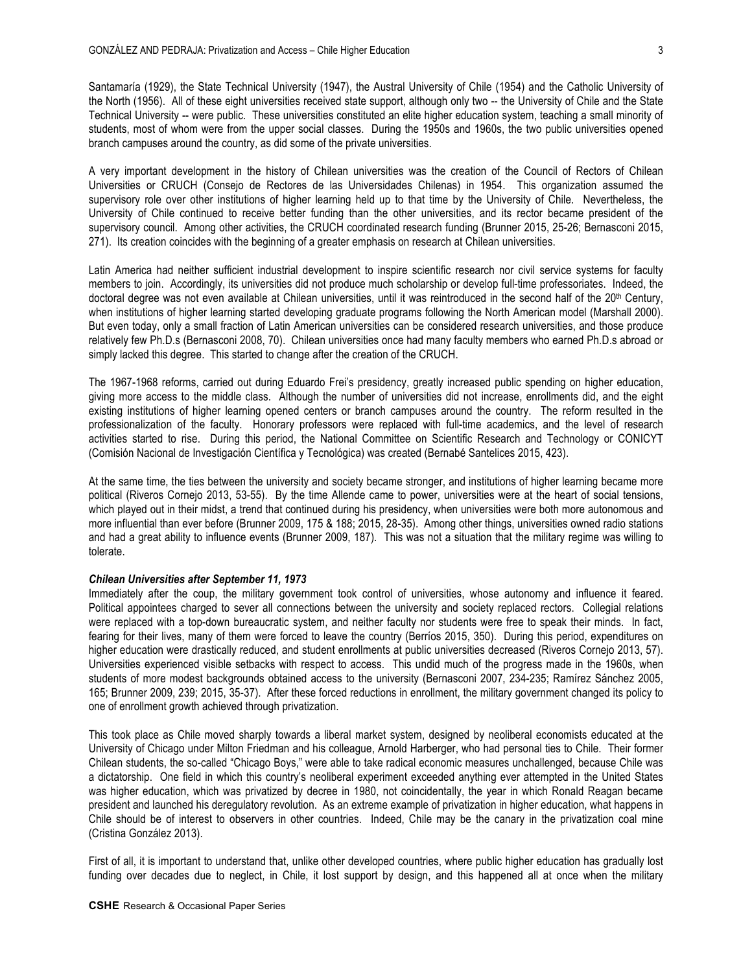Santamaría (1929), the State Technical University (1947), the Austral University of Chile (1954) and the Catholic University of the North (1956). All of these eight universities received state support, although only two -- the University of Chile and the State Technical University -- were public. These universities constituted an elite higher education system, teaching a small minority of students, most of whom were from the upper social classes. During the 1950s and 1960s, the two public universities opened branch campuses around the country, as did some of the private universities.

A very important development in the history of Chilean universities was the creation of the Council of Rectors of Chilean Universities or CRUCH (Consejo de Rectores de las Universidades Chilenas) in 1954. This organization assumed the supervisory role over other institutions of higher learning held up to that time by the University of Chile. Nevertheless, the University of Chile continued to receive better funding than the other universities, and its rector became president of the supervisory council. Among other activities, the CRUCH coordinated research funding (Brunner 2015, 25-26; Bernasconi 2015, 271). Its creation coincides with the beginning of a greater emphasis on research at Chilean universities.

Latin America had neither sufficient industrial development to inspire scientific research nor civil service systems for faculty members to join. Accordingly, its universities did not produce much scholarship or develop full-time professoriates. Indeed, the doctoral degree was not even available at Chilean universities, until it was reintroduced in the second half of the 20th Century, when institutions of higher learning started developing graduate programs following the North American model (Marshall 2000). But even today, only a small fraction of Latin American universities can be considered research universities, and those produce relatively few Ph.D.s (Bernasconi 2008, 70). Chilean universities once had many faculty members who earned Ph.D.s abroad or simply lacked this degree. This started to change after the creation of the CRUCH.

The 1967-1968 reforms, carried out during Eduardo Frei's presidency, greatly increased public spending on higher education, giving more access to the middle class. Although the number of universities did not increase, enrollments did, and the eight existing institutions of higher learning opened centers or branch campuses around the country. The reform resulted in the professionalization of the faculty. Honorary professors were replaced with full-time academics, and the level of research activities started to rise. During this period, the National Committee on Scientific Research and Technology or CONICYT (Comisión Nacional de Investigación Científica y Tecnológica) was created (Bernabé Santelices 2015, 423).

At the same time, the ties between the university and society became stronger, and institutions of higher learning became more political (Riveros Cornejo 2013, 53-55). By the time Allende came to power, universities were at the heart of social tensions, which played out in their midst, a trend that continued during his presidency, when universities were both more autonomous and more influential than ever before (Brunner 2009, 175 & 188; 2015, 28-35). Among other things, universities owned radio stations and had a great ability to influence events (Brunner 2009, 187). This was not a situation that the military regime was willing to tolerate.

### *Chilean Universities after September 11, 1973*

Immediately after the coup, the military government took control of universities, whose autonomy and influence it feared. Political appointees charged to sever all connections between the university and society replaced rectors. Collegial relations were replaced with a top-down bureaucratic system, and neither faculty nor students were free to speak their minds. In fact, fearing for their lives, many of them were forced to leave the country (Berríos 2015, 350). During this period, expenditures on higher education were drastically reduced, and student enrollments at public universities decreased (Riveros Cornejo 2013, 57). Universities experienced visible setbacks with respect to access. This undid much of the progress made in the 1960s, when students of more modest backgrounds obtained access to the university (Bernasconi 2007, 234-235; Ramírez Sánchez 2005, 165; Brunner 2009, 239; 2015, 35-37). After these forced reductions in enrollment, the military government changed its policy to one of enrollment growth achieved through privatization.

This took place as Chile moved sharply towards a liberal market system, designed by neoliberal economists educated at the University of Chicago under Milton Friedman and his colleague, Arnold Harberger, who had personal ties to Chile. Their former Chilean students, the so-called "Chicago Boys," were able to take radical economic measures unchallenged, because Chile was a dictatorship. One field in which this country's neoliberal experiment exceeded anything ever attempted in the United States was higher education, which was privatized by decree in 1980, not coincidentally, the year in which Ronald Reagan became president and launched his deregulatory revolution. As an extreme example of privatization in higher education, what happens in Chile should be of interest to observers in other countries. Indeed, Chile may be the canary in the privatization coal mine (Cristina González 2013).

First of all, it is important to understand that, unlike other developed countries, where public higher education has gradually lost funding over decades due to neglect, in Chile, it lost support by design, and this happened all at once when the military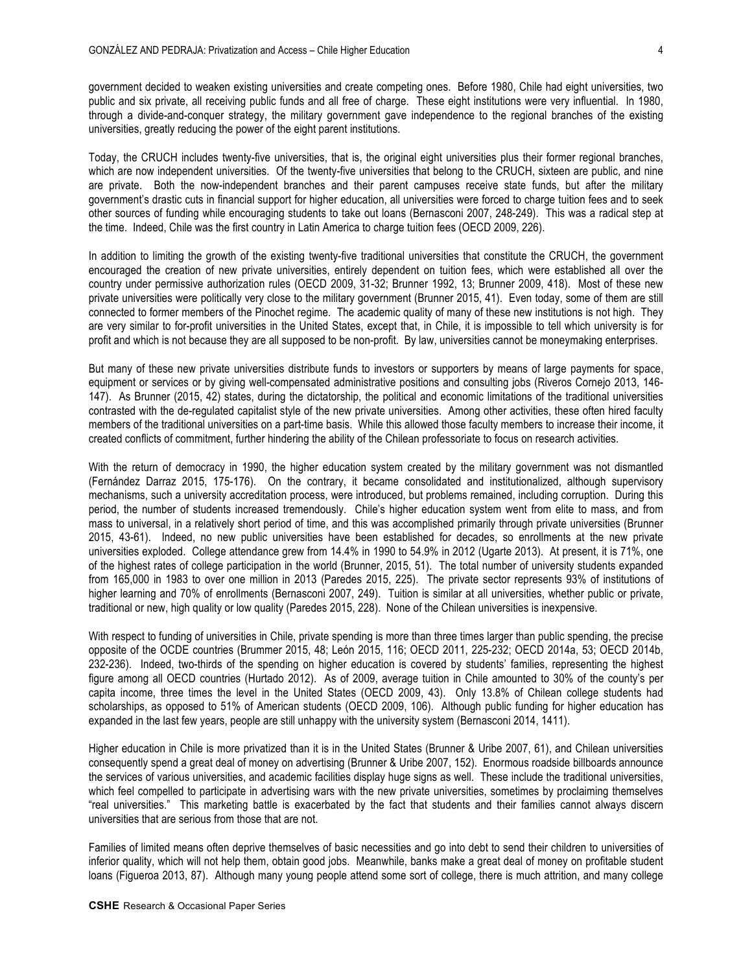government decided to weaken existing universities and create competing ones. Before 1980, Chile had eight universities, two public and six private, all receiving public funds and all free of charge. These eight institutions were very influential. In 1980, through a divide-and-conquer strategy, the military government gave independence to the regional branches of the existing universities, greatly reducing the power of the eight parent institutions.

Today, the CRUCH includes twenty-five universities, that is, the original eight universities plus their former regional branches, which are now independent universities. Of the twenty-five universities that belong to the CRUCH, sixteen are public, and nine are private. Both the now-independent branches and their parent campuses receive state funds, but after the military government's drastic cuts in financial support for higher education, all universities were forced to charge tuition fees and to seek other sources of funding while encouraging students to take out loans (Bernasconi 2007, 248-249). This was a radical step at the time. Indeed, Chile was the first country in Latin America to charge tuition fees (OECD 2009, 226).

In addition to limiting the growth of the existing twenty-five traditional universities that constitute the CRUCH, the government encouraged the creation of new private universities, entirely dependent on tuition fees, which were established all over the country under permissive authorization rules (OECD 2009, 31-32; Brunner 1992, 13; Brunner 2009, 418). Most of these new private universities were politically very close to the military government (Brunner 2015, 41). Even today, some of them are still connected to former members of the Pinochet regime. The academic quality of many of these new institutions is not high. They are very similar to for-profit universities in the United States, except that, in Chile, it is impossible to tell which university is for profit and which is not because they are all supposed to be non-profit. By law, universities cannot be moneymaking enterprises.

But many of these new private universities distribute funds to investors or supporters by means of large payments for space, equipment or services or by giving well-compensated administrative positions and consulting jobs (Riveros Cornejo 2013, 146- 147). As Brunner (2015, 42) states, during the dictatorship, the political and economic limitations of the traditional universities contrasted with the de-regulated capitalist style of the new private universities. Among other activities, these often hired faculty members of the traditional universities on a part-time basis. While this allowed those faculty members to increase their income, it created conflicts of commitment, further hindering the ability of the Chilean professoriate to focus on research activities.

With the return of democracy in 1990, the higher education system created by the military government was not dismantled (Fernández Darraz 2015, 175-176). On the contrary, it became consolidated and institutionalized, although supervisory mechanisms, such a university accreditation process, were introduced, but problems remained, including corruption. During this period, the number of students increased tremendously. Chile's higher education system went from elite to mass, and from mass to universal, in a relatively short period of time, and this was accomplished primarily through private universities (Brunner 2015, 43-61). Indeed, no new public universities have been established for decades, so enrollments at the new private universities exploded. College attendance grew from 14.4% in 1990 to 54.9% in 2012 (Ugarte 2013). At present, it is 71%, one of the highest rates of college participation in the world (Brunner, 2015, 51). The total number of university students expanded from 165,000 in 1983 to over one million in 2013 (Paredes 2015, 225). The private sector represents 93% of institutions of higher learning and 70% of enrollments (Bernasconi 2007, 249). Tuition is similar at all universities, whether public or private, traditional or new, high quality or low quality (Paredes 2015, 228). None of the Chilean universities is inexpensive.

With respect to funding of universities in Chile, private spending is more than three times larger than public spending, the precise opposite of the OCDE countries (Brummer 2015, 48; León 2015, 116; OECD 2011, 225-232; OECD 2014a, 53; OECD 2014b, 232-236). Indeed, two-thirds of the spending on higher education is covered by students' families, representing the highest figure among all OECD countries (Hurtado 2012). As of 2009, average tuition in Chile amounted to 30% of the county's per capita income, three times the level in the United States (OECD 2009, 43). Only 13.8% of Chilean college students had scholarships, as opposed to 51% of American students (OECD 2009, 106). Although public funding for higher education has expanded in the last few years, people are still unhappy with the university system (Bernasconi 2014, 1411).

Higher education in Chile is more privatized than it is in the United States (Brunner & Uribe 2007, 61), and Chilean universities consequently spend a great deal of money on advertising (Brunner & Uribe 2007, 152). Enormous roadside billboards announce the services of various universities, and academic facilities display huge signs as well. These include the traditional universities, which feel compelled to participate in advertising wars with the new private universities, sometimes by proclaiming themselves "real universities." This marketing battle is exacerbated by the fact that students and their families cannot always discern universities that are serious from those that are not.

Families of limited means often deprive themselves of basic necessities and go into debt to send their children to universities of inferior quality, which will not help them, obtain good jobs. Meanwhile, banks make a great deal of money on profitable student loans (Figueroa 2013, 87). Although many young people attend some sort of college, there is much attrition, and many college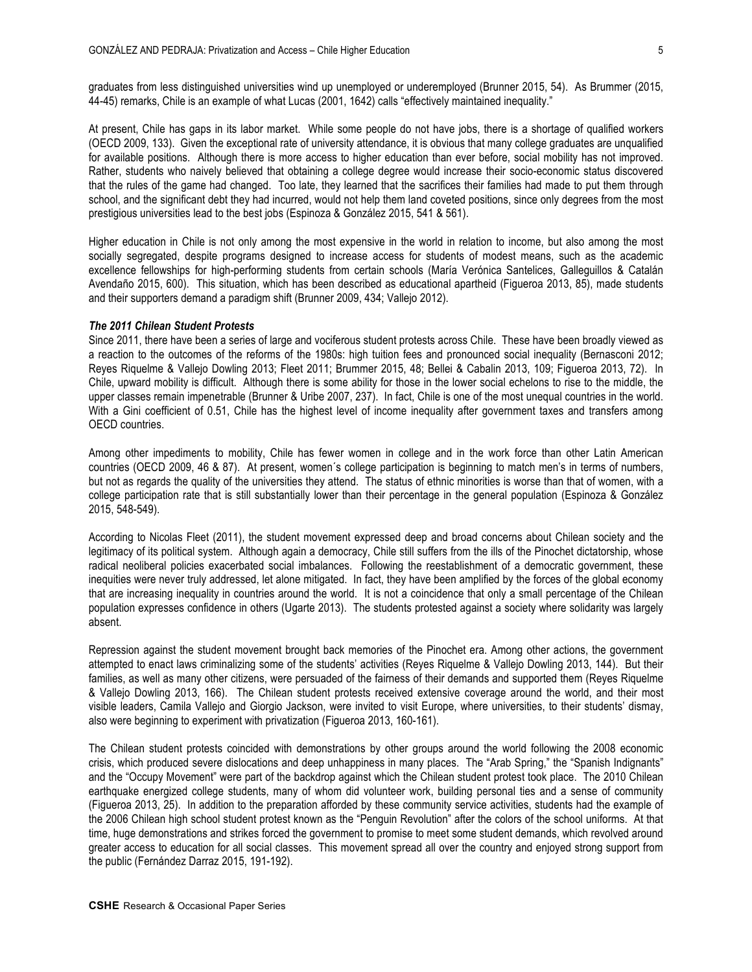graduates from less distinguished universities wind up unemployed or underemployed (Brunner 2015, 54). As Brummer (2015, 44-45) remarks, Chile is an example of what Lucas (2001, 1642) calls "effectively maintained inequality."

At present, Chile has gaps in its labor market. While some people do not have jobs, there is a shortage of qualified workers (OECD 2009, 133). Given the exceptional rate of university attendance, it is obvious that many college graduates are unqualified for available positions. Although there is more access to higher education than ever before, social mobility has not improved. Rather, students who naively believed that obtaining a college degree would increase their socio-economic status discovered that the rules of the game had changed. Too late, they learned that the sacrifices their families had made to put them through school, and the significant debt they had incurred, would not help them land coveted positions, since only degrees from the most prestigious universities lead to the best jobs (Espinoza & González 2015, 541 & 561).

Higher education in Chile is not only among the most expensive in the world in relation to income, but also among the most socially segregated, despite programs designed to increase access for students of modest means, such as the academic excellence fellowships for high-performing students from certain schools (María Verónica Santelices, Galleguillos & Catalán Avendaño 2015, 600). This situation, which has been described as educational apartheid (Figueroa 2013, 85), made students and their supporters demand a paradigm shift (Brunner 2009, 434; Vallejo 2012).

### *The 2011 Chilean Student Protests*

Since 2011, there have been a series of large and vociferous student protests across Chile. These have been broadly viewed as a reaction to the outcomes of the reforms of the 1980s: high tuition fees and pronounced social inequality (Bernasconi 2012; Reyes Riquelme & Vallejo Dowling 2013; Fleet 2011; Brummer 2015, 48; Bellei & Cabalin 2013, 109; Figueroa 2013, 72). In Chile, upward mobility is difficult. Although there is some ability for those in the lower social echelons to rise to the middle, the upper classes remain impenetrable (Brunner & Uribe 2007, 237). In fact, Chile is one of the most unequal countries in the world. With a Gini coefficient of 0.51, Chile has the highest level of income inequality after government taxes and transfers among OECD countries.

Among other impediments to mobility, Chile has fewer women in college and in the work force than other Latin American countries (OECD 2009, 46 & 87). At present, women´s college participation is beginning to match men's in terms of numbers, but not as regards the quality of the universities they attend. The status of ethnic minorities is worse than that of women, with a college participation rate that is still substantially lower than their percentage in the general population (Espinoza & González 2015, 548-549).

According to Nicolas Fleet (2011), the student movement expressed deep and broad concerns about Chilean society and the legitimacy of its political system. Although again a democracy, Chile still suffers from the ills of the Pinochet dictatorship, whose radical neoliberal policies exacerbated social imbalances. Following the reestablishment of a democratic government, these inequities were never truly addressed, let alone mitigated. In fact, they have been amplified by the forces of the global economy that are increasing inequality in countries around the world. It is not a coincidence that only a small percentage of the Chilean population expresses confidence in others (Ugarte 2013). The students protested against a society where solidarity was largely absent.

Repression against the student movement brought back memories of the Pinochet era. Among other actions, the government attempted to enact laws criminalizing some of the students' activities (Reyes Riquelme & Vallejo Dowling 2013, 144). But their families, as well as many other citizens, were persuaded of the fairness of their demands and supported them (Reyes Riquelme & Vallejo Dowling 2013, 166). The Chilean student protests received extensive coverage around the world, and their most visible leaders, Camila Vallejo and Giorgio Jackson, were invited to visit Europe, where universities, to their students' dismay, also were beginning to experiment with privatization (Figueroa 2013, 160-161).

The Chilean student protests coincided with demonstrations by other groups around the world following the 2008 economic crisis, which produced severe dislocations and deep unhappiness in many places. The "Arab Spring," the "Spanish Indignants" and the "Occupy Movement" were part of the backdrop against which the Chilean student protest took place. The 2010 Chilean earthquake energized college students, many of whom did volunteer work, building personal ties and a sense of community (Figueroa 2013, 25). In addition to the preparation afforded by these community service activities, students had the example of the 2006 Chilean high school student protest known as the "Penguin Revolution" after the colors of the school uniforms. At that time, huge demonstrations and strikes forced the government to promise to meet some student demands, which revolved around greater access to education for all social classes. This movement spread all over the country and enjoyed strong support from the public (Fernández Darraz 2015, 191-192).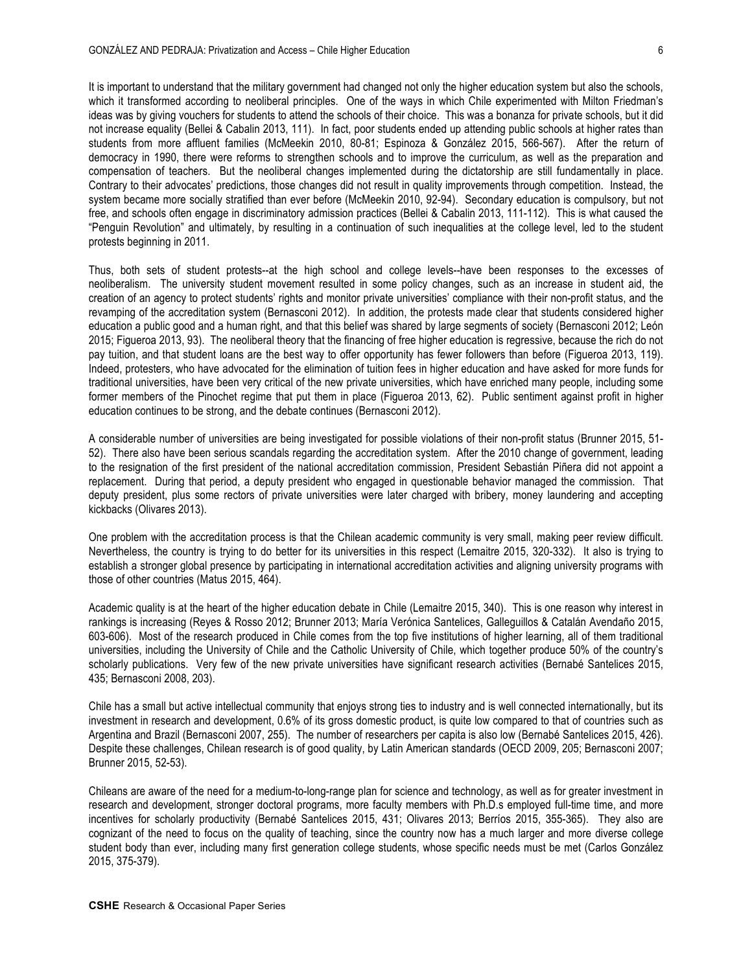It is important to understand that the military government had changed not only the higher education system but also the schools, which it transformed according to neoliberal principles. One of the ways in which Chile experimented with Milton Friedman's ideas was by giving vouchers for students to attend the schools of their choice. This was a bonanza for private schools, but it did not increase equality (Bellei & Cabalin 2013, 111). In fact, poor students ended up attending public schools at higher rates than students from more affluent families (McMeekin 2010, 80-81; Espinoza & González 2015, 566-567). After the return of democracy in 1990, there were reforms to strengthen schools and to improve the curriculum, as well as the preparation and compensation of teachers. But the neoliberal changes implemented during the dictatorship are still fundamentally in place. Contrary to their advocates' predictions, those changes did not result in quality improvements through competition. Instead, the system became more socially stratified than ever before (McMeekin 2010, 92-94). Secondary education is compulsory, but not free, and schools often engage in discriminatory admission practices (Bellei & Cabalin 2013, 111-112). This is what caused the "Penguin Revolution" and ultimately, by resulting in a continuation of such inequalities at the college level, led to the student protests beginning in 2011.

Thus, both sets of student protests--at the high school and college levels--have been responses to the excesses of neoliberalism. The university student movement resulted in some policy changes, such as an increase in student aid, the creation of an agency to protect students' rights and monitor private universities' compliance with their non-profit status, and the revamping of the accreditation system (Bernasconi 2012). In addition, the protests made clear that students considered higher education a public good and a human right, and that this belief was shared by large segments of society (Bernasconi 2012; León 2015; Figueroa 2013, 93). The neoliberal theory that the financing of free higher education is regressive, because the rich do not pay tuition, and that student loans are the best way to offer opportunity has fewer followers than before (Figueroa 2013, 119). Indeed, protesters, who have advocated for the elimination of tuition fees in higher education and have asked for more funds for traditional universities, have been very critical of the new private universities, which have enriched many people, including some former members of the Pinochet regime that put them in place (Figueroa 2013, 62). Public sentiment against profit in higher education continues to be strong, and the debate continues (Bernasconi 2012).

A considerable number of universities are being investigated for possible violations of their non-profit status (Brunner 2015, 51- 52). There also have been serious scandals regarding the accreditation system. After the 2010 change of government, leading to the resignation of the first president of the national accreditation commission, President Sebastián Piñera did not appoint a replacement. During that period, a deputy president who engaged in questionable behavior managed the commission. That deputy president, plus some rectors of private universities were later charged with bribery, money laundering and accepting kickbacks (Olivares 2013).

One problem with the accreditation process is that the Chilean academic community is very small, making peer review difficult. Nevertheless, the country is trying to do better for its universities in this respect (Lemaitre 2015, 320-332). It also is trying to establish a stronger global presence by participating in international accreditation activities and aligning university programs with those of other countries (Matus 2015, 464).

Academic quality is at the heart of the higher education debate in Chile (Lemaitre 2015, 340). This is one reason why interest in rankings is increasing (Reyes & Rosso 2012; Brunner 2013; María Verónica Santelices, Galleguillos & Catalán Avendaño 2015, 603-606). Most of the research produced in Chile comes from the top five institutions of higher learning, all of them traditional universities, including the University of Chile and the Catholic University of Chile, which together produce 50% of the country's scholarly publications. Very few of the new private universities have significant research activities (Bernabé Santelices 2015, 435; Bernasconi 2008, 203).

Chile has a small but active intellectual community that enjoys strong ties to industry and is well connected internationally, but its investment in research and development, 0.6% of its gross domestic product, is quite low compared to that of countries such as Argentina and Brazil (Bernasconi 2007, 255). The number of researchers per capita is also low (Bernabé Santelices 2015, 426). Despite these challenges, Chilean research is of good quality, by Latin American standards (OECD 2009, 205; Bernasconi 2007; Brunner 2015, 52-53).

Chileans are aware of the need for a medium-to-long-range plan for science and technology, as well as for greater investment in research and development, stronger doctoral programs, more faculty members with Ph.D.s employed full-time time, and more incentives for scholarly productivity (Bernabé Santelices 2015, 431; Olivares 2013; Berríos 2015, 355-365). They also are cognizant of the need to focus on the quality of teaching, since the country now has a much larger and more diverse college student body than ever, including many first generation college students, whose specific needs must be met (Carlos González 2015, 375-379).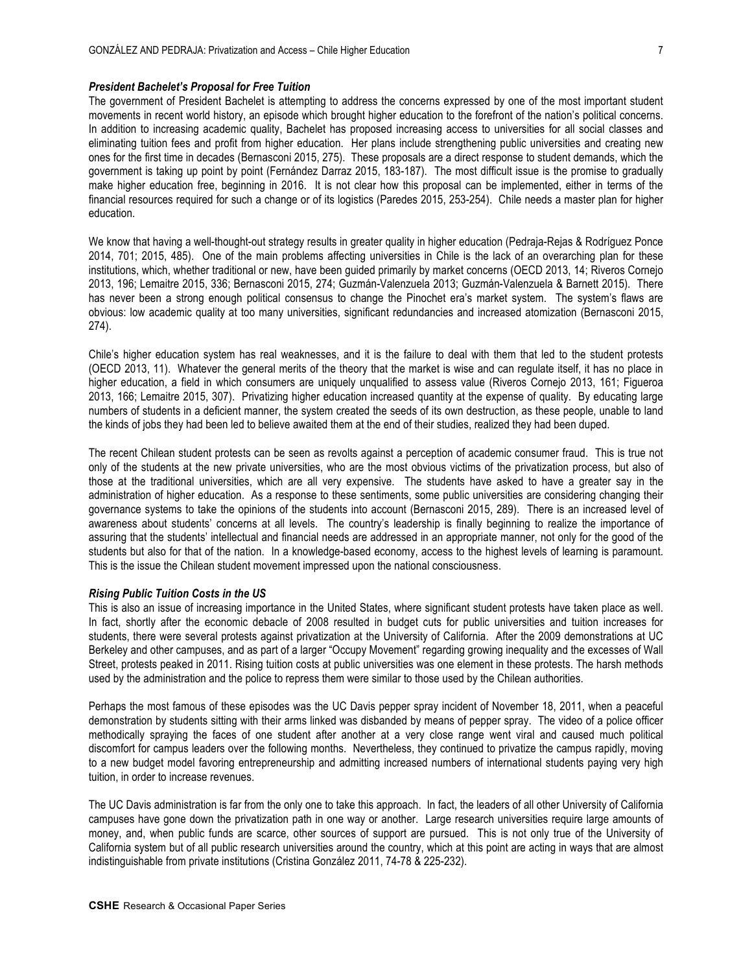### *President Bachelet's Proposal for Free Tuition*

The government of President Bachelet is attempting to address the concerns expressed by one of the most important student movements in recent world history, an episode which brought higher education to the forefront of the nation's political concerns. In addition to increasing academic quality, Bachelet has proposed increasing access to universities for all social classes and eliminating tuition fees and profit from higher education. Her plans include strengthening public universities and creating new ones for the first time in decades (Bernasconi 2015, 275). These proposals are a direct response to student demands, which the government is taking up point by point (Fernández Darraz 2015, 183-187). The most difficult issue is the promise to gradually make higher education free, beginning in 2016. It is not clear how this proposal can be implemented, either in terms of the financial resources required for such a change or of its logistics (Paredes 2015, 253-254). Chile needs a master plan for higher education.

We know that having a well-thought-out strategy results in greater quality in higher education (Pedraja-Rejas & Rodríguez Ponce 2014, 701; 2015, 485). One of the main problems affecting universities in Chile is the lack of an overarching plan for these institutions, which, whether traditional or new, have been guided primarily by market concerns (OECD 2013, 14; Riveros Cornejo 2013, 196; Lemaitre 2015, 336; Bernasconi 2015, 274; Guzmán-Valenzuela 2013; Guzmán-Valenzuela & Barnett 2015). There has never been a strong enough political consensus to change the Pinochet era's market system. The system's flaws are obvious: low academic quality at too many universities, significant redundancies and increased atomization (Bernasconi 2015, 274).

Chile's higher education system has real weaknesses, and it is the failure to deal with them that led to the student protests (OECD 2013, 11). Whatever the general merits of the theory that the market is wise and can regulate itself, it has no place in higher education, a field in which consumers are uniquely unqualified to assess value (Riveros Cornejo 2013, 161; Figueroa 2013, 166; Lemaitre 2015, 307). Privatizing higher education increased quantity at the expense of quality. By educating large numbers of students in a deficient manner, the system created the seeds of its own destruction, as these people, unable to land the kinds of jobs they had been led to believe awaited them at the end of their studies, realized they had been duped.

The recent Chilean student protests can be seen as revolts against a perception of academic consumer fraud. This is true not only of the students at the new private universities, who are the most obvious victims of the privatization process, but also of those at the traditional universities, which are all very expensive. The students have asked to have a greater say in the administration of higher education. As a response to these sentiments, some public universities are considering changing their governance systems to take the opinions of the students into account (Bernasconi 2015, 289). There is an increased level of awareness about students' concerns at all levels. The country's leadership is finally beginning to realize the importance of assuring that the students' intellectual and financial needs are addressed in an appropriate manner, not only for the good of the students but also for that of the nation. In a knowledge-based economy, access to the highest levels of learning is paramount. This is the issue the Chilean student movement impressed upon the national consciousness.

### *Rising Public Tuition Costs in the US*

This is also an issue of increasing importance in the United States, where significant student protests have taken place as well. In fact, shortly after the economic debacle of 2008 resulted in budget cuts for public universities and tuition increases for students, there were several protests against privatization at the University of California. After the 2009 demonstrations at UC Berkeley and other campuses, and as part of a larger "Occupy Movement" regarding growing inequality and the excesses of Wall Street, protests peaked in 2011. Rising tuition costs at public universities was one element in these protests. The harsh methods used by the administration and the police to repress them were similar to those used by the Chilean authorities.

Perhaps the most famous of these episodes was the UC Davis pepper spray incident of November 18, 2011, when a peaceful demonstration by students sitting with their arms linked was disbanded by means of pepper spray. The video of a police officer methodically spraying the faces of one student after another at a very close range went viral and caused much political discomfort for campus leaders over the following months. Nevertheless, they continued to privatize the campus rapidly, moving to a new budget model favoring entrepreneurship and admitting increased numbers of international students paying very high tuition, in order to increase revenues.

The UC Davis administration is far from the only one to take this approach. In fact, the leaders of all other University of California campuses have gone down the privatization path in one way or another. Large research universities require large amounts of money, and, when public funds are scarce, other sources of support are pursued. This is not only true of the University of California system but of all public research universities around the country, which at this point are acting in ways that are almost indistinguishable from private institutions (Cristina González 2011, 74-78 & 225-232).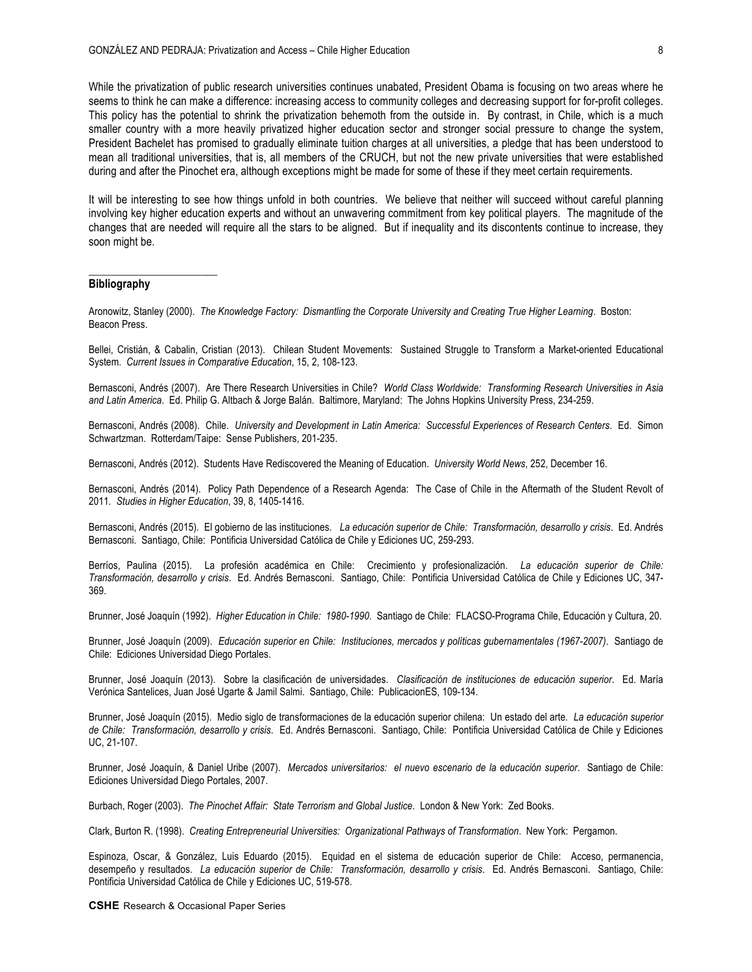While the privatization of public research universities continues unabated, President Obama is focusing on two areas where he seems to think he can make a difference: increasing access to community colleges and decreasing support for for-profit colleges. This policy has the potential to shrink the privatization behemoth from the outside in. By contrast, in Chile, which is a much smaller country with a more heavily privatized higher education sector and stronger social pressure to change the system, President Bachelet has promised to gradually eliminate tuition charges at all universities, a pledge that has been understood to mean all traditional universities, that is, all members of the CRUCH, but not the new private universities that were established during and after the Pinochet era, although exceptions might be made for some of these if they meet certain requirements.

It will be interesting to see how things unfold in both countries. We believe that neither will succeed without careful planning involving key higher education experts and without an unwavering commitment from key political players. The magnitude of the changes that are needed will require all the stars to be aligned. But if inequality and its discontents continue to increase, they soon might be.

### **Bibliography**

**\_\_\_\_\_\_\_\_\_\_\_\_\_\_\_\_\_\_\_\_\_\_\_**

Aronowitz, Stanley (2000). *The Knowledge Factory: Dismantling the Corporate University and Creating True Higher Learning*. Boston: Beacon Press.

Bellei, Cristián, & Cabalin, Cristian (2013). Chilean Student Movements: Sustained Struggle to Transform a Market-oriented Educational System. *Current Issues in Comparative Education*, 15, 2, 108-123.

Bernasconi, Andrés (2007). Are There Research Universities in Chile? *World Class Worldwide: Transforming Research Universities in Asia and Latin America*. Ed. Philip G. Altbach & Jorge Balán. Baltimore, Maryland: The Johns Hopkins University Press, 234-259.

Bernasconi, Andrés (2008). Chile. *University and Development in Latin America: Successful Experiences of Research Centers*. Ed. Simon Schwartzman. Rotterdam/Taipe: Sense Publishers, 201-235.

Bernasconi, Andrés (2012). Students Have Rediscovered the Meaning of Education. *University World News*, 252, December 16.

Bernasconi, Andrés (2014). Policy Path Dependence of a Research Agenda: The Case of Chile in the Aftermath of the Student Revolt of 2011*. Studies in Higher Education*, 39, 8, 1405-1416.

Bernasconi, Andrés (2015). El gobierno de las instituciones. *La educación superior de Chile: Transformación, desarrollo y crisis*. Ed. Andrés Bernasconi. Santiago, Chile: Pontificia Universidad Católica de Chile y Ediciones UC, 259-293.

Berríos, Paulina (2015). La profesión académica en Chile: Crecimiento y profesionalización. *La educación superior de Chile: Transformación, desarrollo y crisis*. Ed. Andrés Bernasconi. Santiago, Chile: Pontificia Universidad Católica de Chile y Ediciones UC, 347- 369.

Brunner, José Joaquín (1992). *Higher Education in Chile: 1980-1990*. Santiago de Chile: FLACSO-Programa Chile, Educación y Cultura, 20.

Brunner, José Joaquín (2009). *Educación superior en Chile: Instituciones, mercados y políticas gubernamentales (1967-2007)*. Santiago de Chile: Ediciones Universidad Diego Portales.

Brunner, José Joaquín (2013). Sobre la clasificación de universidades. *Clasificación de instituciones de educación superior*. Ed. María Verónica Santelices, Juan José Ugarte & Jamil Salmi. Santiago, Chile: PublicacionES, 109-134.

Brunner, José Joaquín (2015). Medio siglo de transformaciones de la educación superior chilena: Un estado del arte*. La educación superior de Chile: Transformación, desarrollo y crisis*. Ed. Andrés Bernasconi. Santiago, Chile: Pontificia Universidad Católica de Chile y Ediciones UC, 21-107.

Brunner, José Joaquín, & Daniel Uribe (2007). *Mercados universitarios: el nuevo escenario de la educación superior*. Santiago de Chile: Ediciones Universidad Diego Portales, 2007.

Burbach, Roger (2003). *The Pinochet Affair: State Terrorism and Global Justice*. London & New York: Zed Books.

Clark, Burton R. (1998). *Creating Entrepreneurial Universities: Organizational Pathways of Transformation*. New York: Pergamon.

Espinoza, Oscar, & González, Luis Eduardo (2015). Equidad en el sistema de educación superior de Chile: Acceso, permanencia, desempeño y resultados. *La educación superior de Chile: Transformación, desarrollo y crisis*. Ed. Andrés Bernasconi. Santiago, Chile: Pontificia Universidad Católica de Chile y Ediciones UC, 519-578.

**CSHE** Research & Occasional Paper Series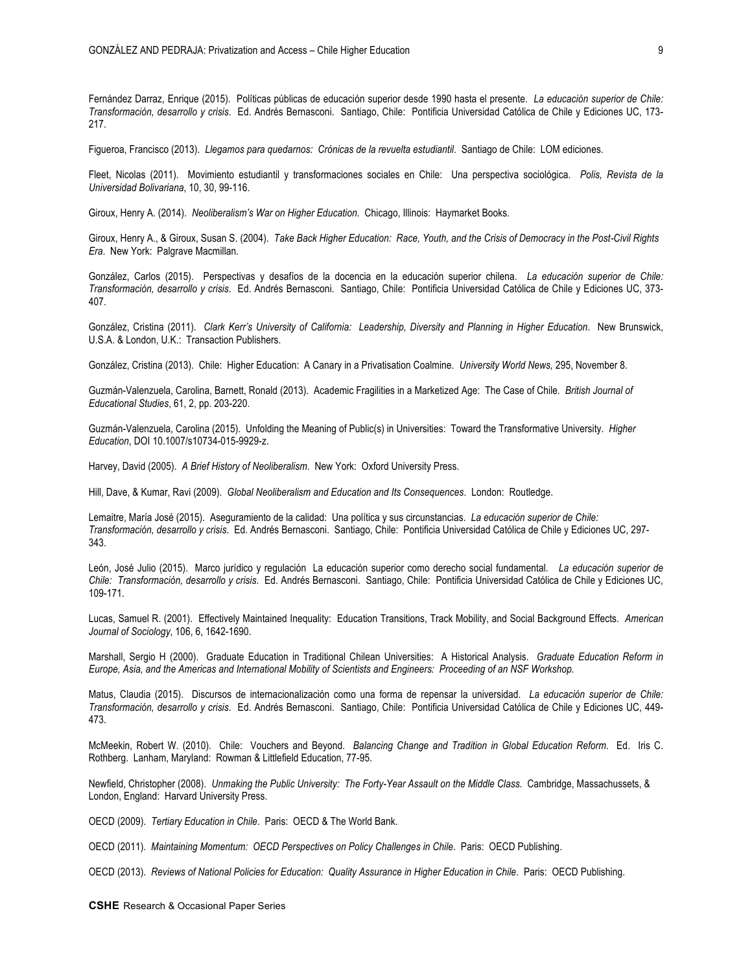Fernández Darraz, Enrique (2015). Políticas públicas de educación superior desde 1990 hasta el presente. *La educación superior de Chile: Transformación, desarrollo y crisis*. Ed. Andrés Bernasconi. Santiago, Chile: Pontificia Universidad Católica de Chile y Ediciones UC, 173- 217.

Figueroa, Francisco (2013). *Llegamos para quedarnos: Crónicas de la revuelta estudiantil*. Santiago de Chile: LOM ediciones.

Fleet, Nicolas (2011). Movimiento estudiantil y transformaciones sociales en Chile: Una perspectiva sociológica. *Polis, Revista de la Universidad Bolivariana*, 10, 30, 99-116.

Giroux, Henry A. (2014). *Neoliberalism's War on Higher Education*. Chicago, Illinois: Haymarket Books.

Giroux, Henry A., & Giroux, Susan S. (2004). *Take Back Higher Education: Race, Youth, and the Crisis of Democracy in the Post-Civil Rights Era*. New York: Palgrave Macmillan.

González, Carlos (2015). Perspectivas y desafíos de la docencia en la educación superior chilena. *La educación superior de Chile: Transformación, desarrollo y crisis*. Ed. Andrés Bernasconi. Santiago, Chile: Pontificia Universidad Católica de Chile y Ediciones UC, 373- 407.

González, Cristina (2011). *Clark Kerr's University of California: Leadership, Diversity and Planning in Higher Education*. New Brunswick, U.S.A. & London, U.K.: Transaction Publishers.

González, Cristina (2013). Chile: Higher Education: A Canary in a Privatisation Coalmine. *University World News,* 295, November 8.

Guzmán-Valenzuela, Carolina, Barnett, Ronald (2013). Academic Fragilities in a Marketized Age: The Case of Chile*. British Journal of Educational Studies*, 61, 2, pp. 203-220.

Guzmán-Valenzuela, Carolina (2015). Unfolding the Meaning of Public(s) in Universities: Toward the Transformative University. *Higher Education*, DOI 10.1007/s10734-015-9929-z.

Harvey, David (2005). *A Brief History of Neoliberalism*. New York: Oxford University Press.

Hill, Dave, & Kumar, Ravi (2009). *Global Neoliberalism and Education and Its Consequences*. London: Routledge.

Lemaitre, María José (2015). Aseguramiento de la calidad: Una política y sus circunstancias. *La educación superior de Chile: Transformación, desarrollo y crisis*. Ed. Andrés Bernasconi. Santiago, Chile: Pontificia Universidad Católica de Chile y Ediciones UC, 297- 343.

León, José Julio (2015). Marco jurídico y regulación La educación superior como derecho social fundamental. *La educación superior de Chile: Transformación, desarrollo y crisis*. Ed. Andrés Bernasconi. Santiago, Chile: Pontificia Universidad Católica de Chile y Ediciones UC, 109-171.

Lucas, Samuel R. (2001). Effectively Maintained Inequality: Education Transitions, Track Mobility, and Social Background Effects. *American Journal of Sociology*, 106, 6, 1642-1690.

Marshall, Sergio H (2000). Graduate Education in Traditional Chilean Universities: A Historical Analysis. *Graduate Education Reform in Europe, Asia, and the Americas and International Mobility of Scientists and Engineers: Proceeding of an NSF Workshop.*

Matus, Claudia (2015). Discursos de internacionalización como una forma de repensar la universidad. *La educación superior de Chile: Transformación, desarrollo y crisis*. Ed. Andrés Bernasconi. Santiago, Chile: Pontificia Universidad Católica de Chile y Ediciones UC, 449- 473.

McMeekin, Robert W. (2010). Chile: Vouchers and Beyond. *Balancing Change and Tradition in Global Education Reform*. Ed. Iris C. Rothberg. Lanham, Maryland: Rowman & Littlefield Education, 77-95.

Newfield, Christopher (2008). *Unmaking the Public University: The Forty-Year Assault on the Middle Class.* Cambridge, Massachussets, & London, England: Harvard University Press.

OECD (2009). *Tertiary Education in Chile*. Paris: OECD & The World Bank.

OECD (2011). *Maintaining Momentum: OECD Perspectives on Policy Challenges in Chile*. Paris: OECD Publishing.

OECD (2013). *Reviews of National Policies for Education: Quality Assurance in Higher Education in Chile*. Paris: OECD Publishing.

**CSHE** Research & Occasional Paper Series